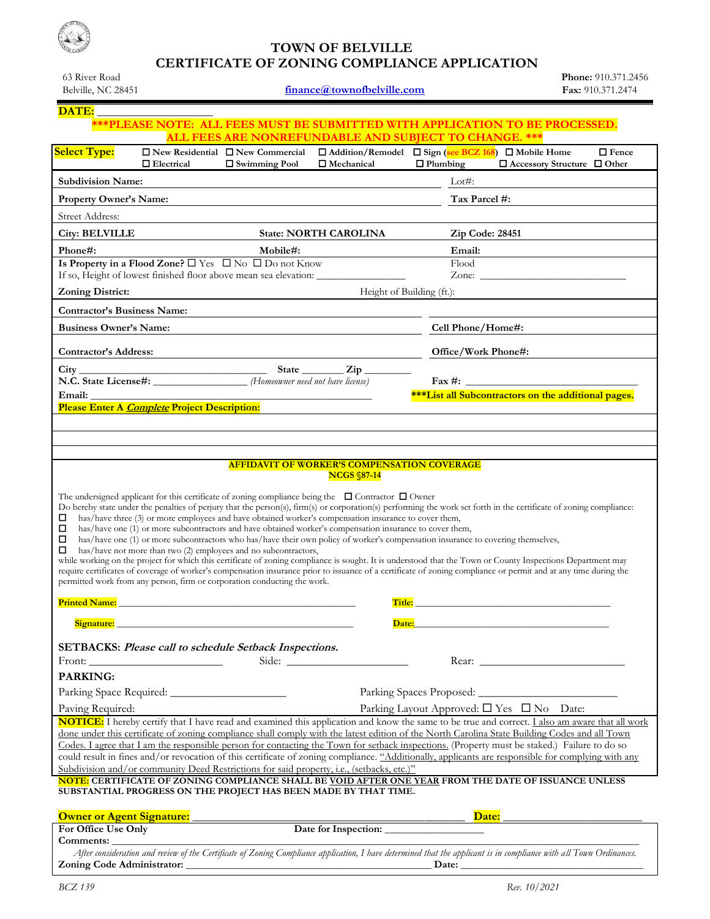## **TOWN OF BELVILLE CERTIFICATE OF ZONING COMPLIANCE APPLICATION** 63 River Road

| Belville, NC 28451                 |                                                     |                                                                                                                                             | finance@townofbelville.com                                                                               |                                                                                                                                                                                                                                                                                                                                                                                                                                                                     | Fax: 910.371.2474                                                                                                                                                                                                              |
|------------------------------------|-----------------------------------------------------|---------------------------------------------------------------------------------------------------------------------------------------------|----------------------------------------------------------------------------------------------------------|---------------------------------------------------------------------------------------------------------------------------------------------------------------------------------------------------------------------------------------------------------------------------------------------------------------------------------------------------------------------------------------------------------------------------------------------------------------------|--------------------------------------------------------------------------------------------------------------------------------------------------------------------------------------------------------------------------------|
| DATE:                              |                                                     |                                                                                                                                             |                                                                                                          |                                                                                                                                                                                                                                                                                                                                                                                                                                                                     |                                                                                                                                                                                                                                |
|                                    |                                                     |                                                                                                                                             |                                                                                                          | <b>***PLEASE NOTE: ALL FEES MUST BE SUBMITTED WITH APPLICATION TO BE PROCESSED.</b>                                                                                                                                                                                                                                                                                                                                                                                 |                                                                                                                                                                                                                                |
|                                    |                                                     |                                                                                                                                             |                                                                                                          | <b>ALL FEES ARE NONREFUNDABLE AND SUBJECT TO CHANGE. ***</b>                                                                                                                                                                                                                                                                                                                                                                                                        |                                                                                                                                                                                                                                |
| <b>Select Type:</b>                | $\Box$ Electrical                                   | $\Box$ New Residential $\Box$ New Commercial<br>$\Box$ Swimming Pool                                                                        | $\Box$ Mechanical                                                                                        | $\Box$ Addition/Remodel $\Box$ Sign (see BCZ 168) $\Box$ Mobile Home<br>$\Box$ Plumbing                                                                                                                                                                                                                                                                                                                                                                             | $\Box$ Fence<br>$\Box$ Accessory Structure $\Box$ Other                                                                                                                                                                        |
| <b>Subdivision Name:</b>           |                                                     |                                                                                                                                             |                                                                                                          | Lot $\#$ :                                                                                                                                                                                                                                                                                                                                                                                                                                                          |                                                                                                                                                                                                                                |
| Property Owner's Name:             |                                                     |                                                                                                                                             |                                                                                                          | Tax Parcel #:                                                                                                                                                                                                                                                                                                                                                                                                                                                       |                                                                                                                                                                                                                                |
|                                    |                                                     |                                                                                                                                             |                                                                                                          |                                                                                                                                                                                                                                                                                                                                                                                                                                                                     |                                                                                                                                                                                                                                |
| <b>Street Address:</b>             |                                                     |                                                                                                                                             |                                                                                                          |                                                                                                                                                                                                                                                                                                                                                                                                                                                                     |                                                                                                                                                                                                                                |
| <b>City: BELVILLE</b>              |                                                     |                                                                                                                                             | <b>State: NORTH CAROLINA</b>                                                                             | Zip Code: 28451                                                                                                                                                                                                                                                                                                                                                                                                                                                     |                                                                                                                                                                                                                                |
| Phone#:                            |                                                     | Mobile#:<br>Is Property in a Flood Zone? $\square$ Yes $\square$ No $\square$ Do not Know                                                   |                                                                                                          | Email:<br>Flood                                                                                                                                                                                                                                                                                                                                                                                                                                                     |                                                                                                                                                                                                                                |
|                                    |                                                     |                                                                                                                                             | If so, Height of lowest finished floor above mean sea elevation: ________________                        |                                                                                                                                                                                                                                                                                                                                                                                                                                                                     | Zone: New York Street, New York Street, New York Street, New York Street, New York Street, New York Street, New York Street, New York Street, New York Street, New York Street, New York Street, New York Street, New York Str |
| <b>Zoning District:</b>            |                                                     |                                                                                                                                             | Height of Building (ft.):                                                                                |                                                                                                                                                                                                                                                                                                                                                                                                                                                                     |                                                                                                                                                                                                                                |
| <b>Contractor's Business Name:</b> |                                                     |                                                                                                                                             |                                                                                                          |                                                                                                                                                                                                                                                                                                                                                                                                                                                                     |                                                                                                                                                                                                                                |
| <b>Business Owner's Name:</b>      |                                                     |                                                                                                                                             |                                                                                                          | Cell Phone/Home#:                                                                                                                                                                                                                                                                                                                                                                                                                                                   |                                                                                                                                                                                                                                |
|                                    |                                                     |                                                                                                                                             |                                                                                                          |                                                                                                                                                                                                                                                                                                                                                                                                                                                                     |                                                                                                                                                                                                                                |
| Contractor's Address:              |                                                     |                                                                                                                                             |                                                                                                          | Office/Work Phone#:                                                                                                                                                                                                                                                                                                                                                                                                                                                 |                                                                                                                                                                                                                                |
|                                    |                                                     | N.C. State License#: (Homeowner need not have license)                                                                                      | State $\frac{Zip}{\Box}$                                                                                 | $\text{Fax #:}$                                                                                                                                                                                                                                                                                                                                                                                                                                                     |                                                                                                                                                                                                                                |
| Email:                             |                                                     |                                                                                                                                             |                                                                                                          | <b>***List all Subcontractors on the additional pages.</b>                                                                                                                                                                                                                                                                                                                                                                                                          |                                                                                                                                                                                                                                |
|                                    | <b>Please Enter A Complete Project Description:</b> |                                                                                                                                             |                                                                                                          |                                                                                                                                                                                                                                                                                                                                                                                                                                                                     |                                                                                                                                                                                                                                |
| ◻<br>□<br>□                        |                                                     | has/have not more than two (2) employees and no subcontractors,<br>permitted work from any person, firm or corporation conducting the work. | has/have one (1) or more subcontractors and have obtained worker's compensation insurance to cover them, | has/have one (1) or more subcontractors who has/have their own policy of worker's compensation insurance to covering themselves,<br>while working on the project for which this certificate of zoning compliance is sought. It is understood that the Town or County Inspections Department may<br>require certificates of coverage of worker's compensation insurance prior to issuance of a certificate of zoning compliance or permit and at any time during the |                                                                                                                                                                                                                                |
|                                    |                                                     |                                                                                                                                             |                                                                                                          |                                                                                                                                                                                                                                                                                                                                                                                                                                                                     |                                                                                                                                                                                                                                |
| <b>Printed Name:</b>               |                                                     |                                                                                                                                             | Title:                                                                                                   |                                                                                                                                                                                                                                                                                                                                                                                                                                                                     |                                                                                                                                                                                                                                |
|                                    |                                                     | Signature: the contract of the contract of the contract of the contract of the contract of the contract of the                              | Date:                                                                                                    |                                                                                                                                                                                                                                                                                                                                                                                                                                                                     |                                                                                                                                                                                                                                |
|                                    |                                                     | SETBACKS: Please call to schedule Setback Inspections.                                                                                      |                                                                                                          |                                                                                                                                                                                                                                                                                                                                                                                                                                                                     |                                                                                                                                                                                                                                |
|                                    |                                                     |                                                                                                                                             |                                                                                                          |                                                                                                                                                                                                                                                                                                                                                                                                                                                                     |                                                                                                                                                                                                                                |
| <b>PARKING:</b>                    |                                                     |                                                                                                                                             |                                                                                                          |                                                                                                                                                                                                                                                                                                                                                                                                                                                                     |                                                                                                                                                                                                                                |
|                                    |                                                     |                                                                                                                                             |                                                                                                          |                                                                                                                                                                                                                                                                                                                                                                                                                                                                     |                                                                                                                                                                                                                                |
| Paving Required:                   |                                                     |                                                                                                                                             |                                                                                                          | Parking Layout Approved: $\square$ Yes $\square$ No Date:                                                                                                                                                                                                                                                                                                                                                                                                           |                                                                                                                                                                                                                                |
|                                    |                                                     |                                                                                                                                             |                                                                                                          | NOTICE: I hereby certify that I have read and examined this application and know the same to be true and correct. I also am aware that all work                                                                                                                                                                                                                                                                                                                     |                                                                                                                                                                                                                                |
|                                    |                                                     |                                                                                                                                             |                                                                                                          | done under this certificate of zoning compliance shall comply with the latest edition of the North Carolina State Building Codes and all Town<br>Codes. I agree that I am the responsible person for contacting the Town for setback inspections. (Property must be staked.) Failure to do so                                                                                                                                                                       |                                                                                                                                                                                                                                |
|                                    |                                                     |                                                                                                                                             |                                                                                                          | could result in fines and/or revocation of this certificate of zoning compliance. "Additionally, applicants are responsible for complying with any                                                                                                                                                                                                                                                                                                                  |                                                                                                                                                                                                                                |
|                                    |                                                     |                                                                                                                                             | Subdivision and/or community Deed Restrictions for said property, i.e., (setbacks, etc.)"                |                                                                                                                                                                                                                                                                                                                                                                                                                                                                     |                                                                                                                                                                                                                                |
|                                    |                                                     |                                                                                                                                             | SUBSTANTIAL PROGRESS ON THE PROJECT HAS BEEN MADE BY THAT TIME.                                          | NOTE: CERTIFICATE OF ZONING COMPLIANCE SHALL BE VOID AFTER ONE YEAR FROM THE DATE OF ISSUANCE UNLESS                                                                                                                                                                                                                                                                                                                                                                |                                                                                                                                                                                                                                |
| <b>Owner or Agent Signature:</b>   |                                                     |                                                                                                                                             |                                                                                                          | $\overline{\text{Date:}}$                                                                                                                                                                                                                                                                                                                                                                                                                                           |                                                                                                                                                                                                                                |
| For Office Use Only                |                                                     |                                                                                                                                             | $\frac{Dz}{Dz}$ Date for Inspection:                                                                     |                                                                                                                                                                                                                                                                                                                                                                                                                                                                     |                                                                                                                                                                                                                                |
| Comments:                          |                                                     |                                                                                                                                             |                                                                                                          |                                                                                                                                                                                                                                                                                                                                                                                                                                                                     |                                                                                                                                                                                                                                |
|                                    |                                                     |                                                                                                                                             |                                                                                                          | After consideration and review of the Certificate of Zoning Compliance application, I have determined that the applicant is in compliance with all Town Ordinances.                                                                                                                                                                                                                                                                                                 |                                                                                                                                                                                                                                |
| Zoning Code Administrator:         |                                                     |                                                                                                                                             |                                                                                                          | Date:                                                                                                                                                                                                                                                                                                                                                                                                                                                               |                                                                                                                                                                                                                                |

**Zoning Code Administrator:** \_\_\_\_\_\_\_\_\_\_\_\_\_\_\_\_\_\_\_\_\_\_\_\_\_\_\_\_\_\_\_\_\_\_\_\_\_\_\_\_\_\_\_\_\_\_\_ **Date:** \_\_\_\_\_\_\_\_\_\_\_\_\_\_\_\_\_\_\_\_\_\_\_\_\_\_\_\_\_\_\_\_\_\_\_

**Phone:** 910.371.2456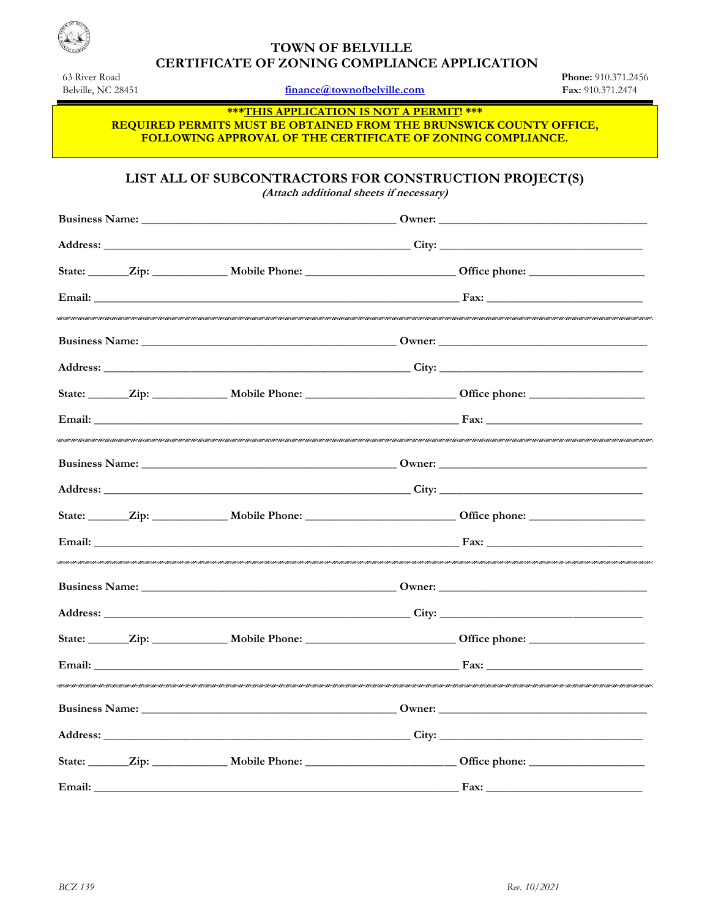

## **TOWN OF BELVILLE CERTIFICATE OF ZONING COMPLIANCE APPLICATION**

63 River Road Belville, NC 28451

finance@townofbelville.com

Phone: 910.371.2456 Fax: 910.371.2474

\*\*\* THIS APPLICATION IS NOT A PERMIT! \*\*\* REQUIRED PERMITS MUST BE OBTAINED FROM THE BRUNSWICK COUNTY OFFICE, **FOLLOWING APPROVAL OF THE CERTIFICATE OF ZONING COMPLIANCE.** 

LIST ALL OF SUBCONTRACTORS FOR CONSTRUCTION PROJECT(S)

(Attach additional sheets if necessary)

|  | Address: City: City: City: City: City: City: City: City: City: City: City: City: City: City: City: City: City: City: City: City: City: City: City: City: City: City: City: City: City: City: City: City: City: City: City: Cit           |  |
|--|------------------------------------------------------------------------------------------------------------------------------------------------------------------------------------------------------------------------------------------|--|
|  |                                                                                                                                                                                                                                          |  |
|  |                                                                                                                                                                                                                                          |  |
|  |                                                                                                                                                                                                                                          |  |
|  | Address: City: City: City: City: City: City: City: City: City: City: City: City: City: City: City: City: City: City: City: City: City: City: City: City: City: City: City: City: City: City: City: City: City: City: City: Cit           |  |
|  |                                                                                                                                                                                                                                          |  |
|  |                                                                                                                                                                                                                                          |  |
|  |                                                                                                                                                                                                                                          |  |
|  |                                                                                                                                                                                                                                          |  |
|  |                                                                                                                                                                                                                                          |  |
|  |                                                                                                                                                                                                                                          |  |
|  |                                                                                                                                                                                                                                          |  |
|  |                                                                                                                                                                                                                                          |  |
|  |                                                                                                                                                                                                                                          |  |
|  |                                                                                                                                                                                                                                          |  |
|  | <b>Business Name:</b> <u>Dividends</u> Countries Countries Countries Countries Countries Countries Countries Countries Countries Countries Countries Countries Countries Countries Countries Countries Countries Countries Countries Cou |  |
|  |                                                                                                                                                                                                                                          |  |
|  |                                                                                                                                                                                                                                          |  |
|  |                                                                                                                                                                                                                                          |  |